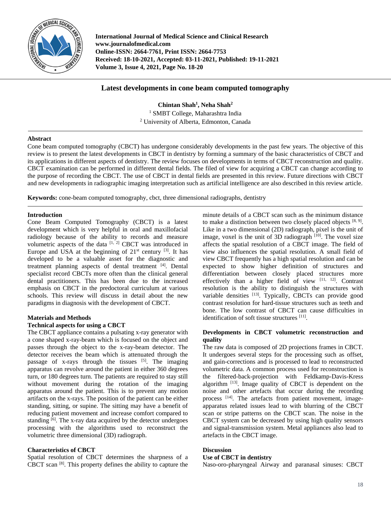

**International Journal of Medical Science and Clinical Research www.journalofmedical.com Online-ISSN: 2664-7761, Print ISSN: 2664-7753 Received: 18-10-2021, Accepted: 03-11-2021, Published: 19-11-2021 Volume 3, Issue 4, 2021, Page No. 18-20**

# **Latest developments in cone beam computed tomography**

**Chintan Shah<sup>1</sup> , Neha Shah<sup>2</sup>** <sup>1</sup> SMBT College, Maharashtra India <sup>2</sup> University of Alberta, Edmonton, Canada

### **Abstract**

Cone beam computed tomography (CBCT) has undergone considerably developments in the past few years. The objective of this review is to present the latest developments in CBCT in dentistry by forming a summary of the basic characteristics of CBCT and its applications in different aspects of dentistry. The review focuses on developments in terms of CBCT reconstruction and quality. CBCT examination can be performed in different dental fields. The filed of view for acquiring a CBCT can change according to the purpose of recording the CBCT. The use of CBCT in dental fields are presented in this review. Future directions with CBCT and new developments in radiographic imaging interpretation such as artificial intelligence are also described in this review article.

**Keywords:** cone-beam computed tomography, cbct, three dimensional radiographs, dentistry

## **Introduction**

Cone Beam Computed Tomography (CBCT) is a latest development which is very helpful in oral and maxillofacial radiology because of the ability to records and measure volumetric aspects of the data  $[1, 2]$  CBCT was introduced in Europe and USA at the beginning of  $21^{st}$  century  $^{[3]}$ . It has developed to be a valuable asset for the diagnostic and treatment planning aspects of dental treatment [4]. Dental specialist record CBCTs more often than the clinical general dental practitioners. This has been due to the increased emphasis on CBCT in the predoctoral curriculum at various schools. This review will discuss in detail about the new paradigms in diagnosis with the development of CBCT.

## **Materials and Methods**

### **Technical aspects for using a CBCT**

The CBCT appliance contains a pulsating x-ray generator with a cone shaped x-ray-beam which is focused on the object and passes through the object to the x-ray-beam detector. The detector receives the beam which is attenuated through the passage of x-rays through the tissues  $[5]$ . The imaging apparatus can revolve around the patient in either 360 degrees turn, or 180 degrees turn. The patients are required to stay still without movement during the rotation of the imaging apparatus around the patient. This is to prevent any motion artifacts on the x-rays. The position of the patient can be either standing, sitting, or supine. The sitting may have a benefit of reducing patient movement and increase comfort compared to standing <sup>[6]</sup>. The x-ray data acquired by the detector undergoes processing with the algorithms used to reconstruct the volumetric three dimensional (3D) radiograph.

## **Characteristics of CBCT**

Spatial resolution of CBCT determines the sharpness of a CBCT scan [8] . This property defines the ability to capture the

minute details of a CBCT scan such as the minimum distance to make a distinction between two closely placed objects  $[8, 9]$ . Like in a two dimensional (2D) radiograph, pixel is the unit of image, voxel is the unit of 3D radiograph [10]. The voxel size affects the spatial resolution of a CBCT image. The field of view also influences the spatial resolution. A small field of view CBCT frequently has a high spatial resolution and can be expected to show higher definition of structures and differentiation between closely placed structures more effectively than a higher field of view  $[11, 12]$ . Contrast resolution is the ability to distinguish the structures with variable densities [13]. Typically, CBCTs can provide good contrast resolution for hard-tissue structures such as teeth and bone. The low contrast of CBCT can cause difficulties in identification of soft tissue structures [11].

## **Developments in CBCT volumetric reconstruction and quality**

The raw data is composed of 2D projections frames in CBCT. It undergoes several steps for the processing such as offset, and gain-corrections and is processed to lead to reconstructed volumetric data. A common process used for reconstruction is the filtered-back-projection with Feldkamp-Davis-Kress algorithm  $^{[13]}$ . Image quality of CBCT is dependent on the noise and other artefacts that occur during the recording process [14]. The artefacts from patient movement, imageapparatus related issues lead to with blurring of the CBCT scan or stripe patterns on the CBCT scan. The noise in the CBCT system can be decreased by using high quality sensors and signal-transmission system. Metal appliances also lead to artefacts in the CBCT image.

### **Discussion**

# **Use of CBCT in dentistry**

Naso-oro-pharyngeal Airway and paranasal sinuses: CBCT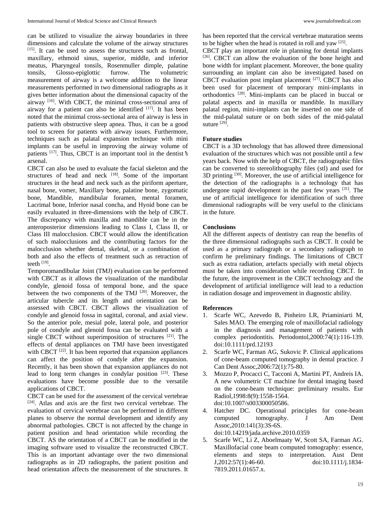can be utilized to visualize the airway boundaries in three dimensions and calculate the volume of the airway structures [15] . It can be used to assess the structures such as frontal, maxillary, ethmoid sinus, superior, middle, and inferior meatus, Pharyngeal tonsils, Rosenmuller dimple, palatine tonsils, Glosso-epiglottic furrow. The volumetric measurement of airway is a welcome addition to the linear measurements performed in two dimensional radiographs as it gives better information about the dimensional capacity of the airway<sup>[16]</sup>. With CBCT, the minimal cross-sectional area of airway for a patient can also be identified  $[17]$ . It has been noted that the minimal cross-sectional area of airway is less in patients with obstructive sleep apnea. Thus, it can be a good tool to screen for patients with airway issues. Furthermore, techniques such as palatal expansion technique with mini implants can be useful in improving the airway volume of patients [17] . Thus, CBCT is an important tool in the dentist**'**s arsenal.

CBCT can also be used to evaluate the facial skeleton and the structures of head and neck  $[18]$ . Some of the important structures in the head and neck such as the piriform aperture, nasal bone, vomer, Maxillary bone, palatine bone, zygomatic bone, Mandible, mandibular foramen, mental foramen, Lacrimal bone, Inferior nasal concha, and Hyoid bone can be easily evaluated in three-dimensions with the help of CBCT. The discrepancy with maxilla and mandible can be in the anteroposterior dimensions leading to Class I, Class II, or Class III malocclusion. CBCT would allow the identification of such malocclusions and the contributing factors for the malocclusion whether dental, skeletal, or a combination of both and also the effects of treatment such as retraction of teeth  $^{[19]}$ .

Temporomandibular Joint (TMJ) evaluation can be performed with CBCT as it allows the visualization of the mandibular condyle, glenoid fossa of temporal bone, and the space between the two components of the TMJ <sup>[20]</sup>. Moreover, the articular tubercle and its length and orientation can be assessed with CBCT. CBCT allows the visualization of condyle and glenoid fossa in sagittal, coronal, and axial view. So the anterior pole, mesial pole, lateral pole, and posterior pole of condyle and glenoid fossa can be evaluated with a single CBCT without superimposition of structures [21]. The effects of dental appliances on TMJ have been investigated with CBCT  $^{[22]}$ . It has been reported that expansion appliances can affect the position of condyle after the expansion. Recently, it has been shown that expansion appliances do not lead to long term changes in condylar position  $[23]$ . These evaluations have become possible due to the versatile applications of CBCT.

CBCT can be used for the assessment of the cervical vertebrae [24] . Atlas and axis are the first two cervical vertebrae. The evaluation of cervical vertebrae can be performed in different planes to observe the normal development and identify any abnormal pathologies. CBCT is not affected by the change in patient position and head orientation while recording the CBCT. AS the orientation of a CBCT can be modified in the imaging software used to visualize the reconstructed CBCT. This is an important advantage over the two dimensional radiographs as in 2D radiographs, the patient position and head orientation affects the measurement of the structures. It has been reported that the cervical vertebrae maturation seems to be higher when the head is rotated in roll and yaw  $[25]$ .

CBCT play an important role in planning for dental implants [26]. CBCT can allow the evaluation of the bone height and bone width for implant placement. Moreover, the bone quality surrounding an implant can also be investigated based on CBCT evaluation post implant placement [27] . CBCT has also been used for placement of temporary mini-implants in orthodontics [28] . Mini-implants can be placed in buccal or palatal aspects and in maxilla or mandible. In maxillary palatal region, mini-implants can be inserted on one side of the mid-palatal suture or on both sides of the mid-palatal suture [29].

### **Future studies**

CBCT is a 3D technology that has allowed three dimensional evaluation of the structures which was not possible until a few years back. Now with the help of CBCT, the radiographic files can be converted to stereolithography files (stl) and used for  $3D$  printing  $^{[30]}$ . Moreover, the use of artificial intelligence for the detection of the radiographs is a technology that has undergone rapid development in the past few years <sup>[31]</sup>. The use of artificial intelligence for identification of such three dimensional radiographs will be very useful to the clinicians in the future.

## **Conclusions**

All the different aspects of dentistry can reap the benefits of the three dimensional radiographs such as CBCT. It could be used as a primary radiograph or a secondary radiograph to confirm he preliminary findings. The limitations of CBCT such as extra radiation, artefacts specially with metal objects must be taken into consideration while recording CBCT. In the future, the improvement in the CBCT technology and the development of artificial intelligence will lead to a reduction in radiation dosage and improvement in diagnostic ability.

### **References**

- 1. Scarfe WC, Azevedo B, Pinheiro LR, Priaminiarti M, Sales MAO. The emerging role of maxillofacial radiology in the diagnosis and management of patients with complex periodontitis. Periodontol,2000:74(1):116-139. doi:10.1111/prd.12193
- 2. Scarfe WC, Farman AG, Sukovic P. Clinical applications of cone-beam computed tomography in dental practice. J Can Dent Assoc,2006:72(1):75-80.
- 3. Mozzo P, Procacci C, Tacconi A, Martini PT, Andreis IA. A new volumetric CT machine for dental imaging based on the cone-beam technique: preliminary results. Eur Radiol,1998:8(9):1558-1564. doi:10.1007/s003300050586.
- 4. Hatcher DC. Operational principles for cone-beam computed tomography. J Am Dent Assoc,2010:141(3):3S-6S. doi:10.14219/jada.archive.2010.0359
- 5. Scarfe WC, Li Z, Aboelmaaty W, Scott SA, Farman AG. Maxillofacial cone beam computed tomography: essence, elements and steps to interpretation. Aust Dent J,2012:57(1):46-60. doi:10.1111/j.1834- 7819.2011.01657.x.